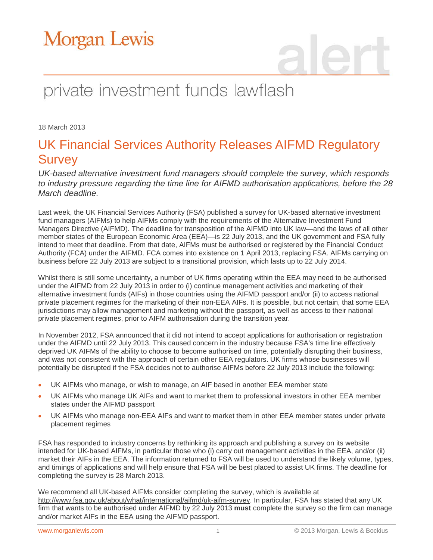

# private investment funds lawflash

18 March 2013

### UK Financial Services Authority Releases AIFMD Regulatory Survey

*UK-based alternative investment fund managers should complete the survey, which responds to industry pressure regarding the time line for AIFMD authorisation applications, before the 28 March deadline.* 

Last week, the UK Financial Services Authority (FSA) published a survey for UK-based alternative investment fund managers (AIFMs) to help AIFMs comply with the requirements of the Alternative Investment Fund Managers Directive (AIFMD). The deadline for transposition of the AIFMD into UK law—and the laws of all other member states of the European Economic Area (EEA)—is 22 July 2013, and the UK government and FSA fully intend to meet that deadline. From that date, AIFMs must be authorised or registered by the Financial Conduct Authority (FCA) under the AIFMD. FCA comes into existence on 1 April 2013, replacing FSA. AIFMs carrying on business before 22 July 2013 are subject to a transitional provision, which lasts up to 22 July 2014.

Whilst there is still some uncertainty, a number of UK firms operating within the EEA may need to be authorised under the AIFMD from 22 July 2013 in order to (i) continue management activities and marketing of their alternative investment funds (AIFs) in those countries using the AIFMD passport and/or (ii) to access national private placement regimes for the marketing of their non-EEA AIFs. It is possible, but not certain, that some EEA jurisdictions may allow management and marketing without the passport, as well as access to their national private placement regimes, prior to AIFM authorisation during the transition year.

In November 2012, FSA announced that it did not intend to accept applications for authorisation or registration under the AIFMD until 22 July 2013. This caused concern in the industry because FSA's time line effectively deprived UK AIFMs of the ability to choose to become authorised on time, potentially disrupting their business, and was not consistent with the approach of certain other EEA regulators. UK firms whose businesses will potentially be disrupted if the FSA decides not to authorise AIFMs before 22 July 2013 include the following:

- UK AIFMs who manage, or wish to manage, an AIF based in another EEA member state
- UK AIFMs who manage UK AIFs and want to market them to professional investors in other EEA member states under the AIFMD passport
- UK AIFMs who manage non-EEA AIFs and want to market them in other EEA member states under private placement regimes

FSA has responded to industry concerns by rethinking its approach and publishing a survey on its website intended for UK-based AIFMs, in particular those who (i) carry out management activities in the EEA, and/or (ii) market their AIFs in the EEA. The information returned to FSA will be used to understand the likely volume, types, and timings of applications and will help ensure that FSA will be best placed to assist UK firms. The deadline for completing the survey is 28 March 2013.

We recommend all UK-based AIFMs consider completing the survey, which is available at [http://www.fsa.gov.uk/about/what/international/aifmd/uk-aifm-survey.](http://www.fsa.gov.uk/about/what/international/aifmd/uk-aifm-survey) In particular, FSA has stated that any UK firm that wants to be authorised under AIFMD by 22 July 2013 **must** complete the survey so the firm can manage and/or market AIFs in the EEA using the AIFMD passport.